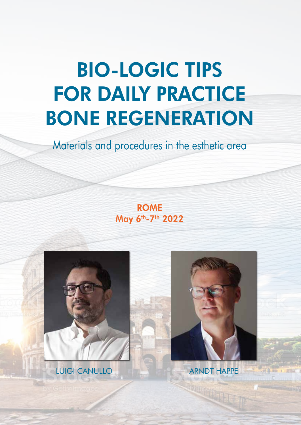## BIO-LOGIC TIPS FOR DAILY PRACTICE BONE REGENERATION

### Materials and procedures in the esthetic area

ROME May 6<sup>th</sup>-7<sup>th</sup> 2022



LUIGI CANULLO ARNDT HAPPE

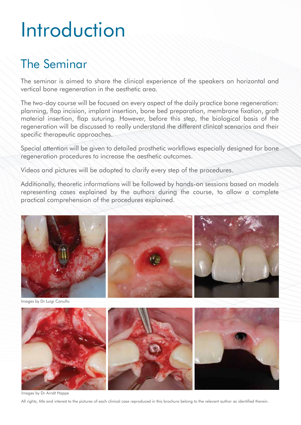## Introduction

### The Seminar

The seminar is aimed to share the clinical experience of the speakers on horizontal and vertical bone regeneration in the aesthetic area.

The two-day course will be focused on every aspect of the daily practice bone regeneration: planning, flap incision, implant insertion, bone bed preparation, membrane fixation, graft material insertion, flap suturing. However, before this step, the biological basis of the regeneration will be discussed to really understand the different clinical scenarios and their specific therapeutic approaches.

Special attention will be given to detailed prosthetic workflows especially designed for bone regeneration procedures to increase the aesthetic outcomes.

Videos and pictures will be adopted to clarify every step of the procedures.

Additionally, theoretic informations will be followed by hands-on sessions based on models representing cases explained by the authors during the course, to allow a complete practical comprehension of the procedures explained.



Images by Dr Luigi Canullo



Images by Dr Arndt Happe

All rights, title and interest to the pictures of each clinical case reproduced in this brochure belong to the relevant author as identified therein.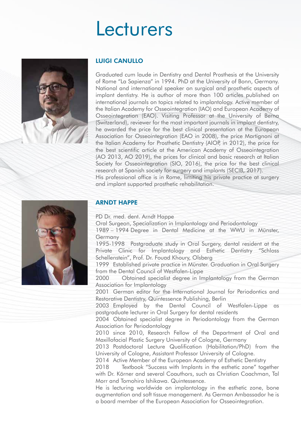### **Lecturers**



#### LUIGI CANULLO

Graduated cum laude in Dentistry and Dental Prosthesis at the University of Rome "La Sapienza" in 1994. PhD at the University of Bonn, Germany. National and international speaker on surgical and prosthetic aspects of implant dentistry. He is author of more than 100 articles published on international journals on topics related to implantology. Active member of the Italian Academy for Osseointegration (IAO) and European Academy of Osseointegration (EAO). Visiting Professor at the University of Berna (Switzerland), reviewer for the most important journals in implant dentistry, he awarded the price for the best clinical presentation at the European Association for Osseointegration (EAO in 2008), the price Martignoni at the Italian Academy for Prosthetic Dentistry (AIOP, in 2012), the price for the best scientific article at the American Academy of Osseointegration (AO 2013, AO 2019), the prices for clinical and basic research at Italian Society for Osseointegration (SIO, 2016), the price for the best clinical research at Spanish society for surgery and implants (SECIB, 2017). His professional office is in Rome, limiting his private practice at surgery and implant supported prosthetic rehabilitation.



#### ARNDT HAPPE

PD Dr. med. dent. Arndt Happe

Oral Surgeon, Specialization in Implantology and Periodontology

1989 – 1994 Degree in Dental Medicine at the WWU in Münster, Germany

1995-1998 Postgraduate study in Oral Surgery, dental resident at the Private Clinic for Implantology and Esthetic Dentistry "Schloss Schellenstein", Prof. Dr. Fouad Khoury, Olsberg

1999 Established private practice in Münster. Graduation in Oral Surgery from the Dental Council of Westfalen-Lippe

2000 Obtained specialist degree in Implantology from the German Association for Implantology

2001 German editor for the International Journal for Periodontics and Restorative Dentistry, Quintessence Publishing, Berlin

2003 Employed by the Dental Council of Westfalen-Lippe as postgraduate lecturer in Oral Surgery for dental residents

2004 Obtained specialist degree in Periodontology from the German Association for Periodontology

2010 since 2010, Research Fellow of the Department of Oral and Maxillofacial Plastic Surgery University of Cologne, Germany

2013 Postdoctoral Lecture Qualification (Habilitation/PhD) from the University of Cologne, Assistant Professor University of Cologne.

2014 Active Member of the European Academy of Esthetic Dentistry

2018 Textbook "Success with Implants in the esthetic zone" together with Dr. Körner and several Coauthors, such as Christian Coachman, Tal Morr and Tomohiro Ishikawa. Quintessence.

He is lecturing worldwide on implantology in the esthetic zone, bone augmentation and soft tissue management. As German Ambassador he is a board member of the European Association for Osseointegration.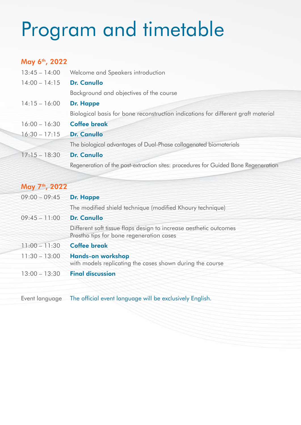## Program and timetable

### May 6<sup>th</sup>, 2022

| $13:45 - 14:00$ | Welcome and Speakers introduction                                                  |
|-----------------|------------------------------------------------------------------------------------|
| $14:00 - 14:15$ | <b>Dr. Canullo</b>                                                                 |
|                 | Background and objectives of the course                                            |
| $14:15 - 16:00$ | Dr. Happe                                                                          |
|                 | Biological basis for bone reconstruction indications for different graft material  |
| $16:00 - 16:30$ | <b>Coffee break</b>                                                                |
| $16:30 - 17:15$ | <b>Dr. Canullo</b>                                                                 |
|                 | The biological advantages of Dual-Phase collagenated biomaterials                  |
| $17:15 - 18:30$ | <b>Dr. Canullo</b>                                                                 |
|                 | Regeneration of the post-extraction sites: procedures for Guided Bone Regeneration |

### May 7<sup>th</sup>, 2022

| $09:00 - 09:45$ | Dr. Happe                                                                                                     |
|-----------------|---------------------------------------------------------------------------------------------------------------|
|                 | The modified shield technique (modified Khoury technique)                                                     |
| $09:45 - 11:00$ | <b>Dr. Canullo</b>                                                                                            |
|                 | Different soft tissue flaps design to increase aesthetic outcomes<br>Prostho tips for bone regeneration cases |
| $11:00 - 11:30$ | <b>Coffee break</b>                                                                                           |
| $11:30 - 13:00$ | <b>Hands-on workshop</b><br>with models replicating the cases shown during the course                         |
| $13:00 - 13:30$ | <b>Final discussion</b>                                                                                       |

Event language The official event language will be exclusively English.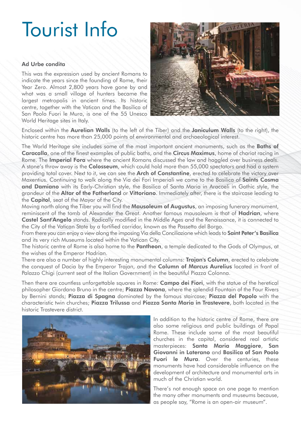### Tourist Info

#### Ad Urbe condita

This was the expression used by ancient Romans to indicate the years since the founding of Rome, their Year Zero. Almost 2,800 years have gone by and what was a small village of hunters became the largest metropolis in ancient times. Its historic centre, together with the Vatican and the Basilica of San Paolo Fuori le Mura, is one of the 55 Unesco World Heritage sites in Italy.



Enclosed within the Aurelian Walls (to the left of the Tiber) and the Janiculum Walls (to the right), the historic centre has more than 25,000 points of environmental and archaeological interest.

The World Heritage site includes some of the most important ancient monuments, such as the **Baths of** Caracalla, one of the finest examples of public baths, and the Circus Maximus, home of chariot racing in Rome. The **Imperial Fora** where the ancient Romans discussed the law and haggled over business deals. A stone's throw away is the **Colosseum**, which could hold more than 55,000 spectators and had a system providing total cover. Next to it, we can see the Arch of Constantine, erected to celebrate the victory over Maxentius. Continuing to walk along the Via dei Fori Imperiali we come to the Basilica of Saints Cosma and Damiano with its Early-Christian style, the Basilica of Santa Maria in Aracoeli in Gothic style, the grandeur of the **Altar of the Fatherland** or **Vittoriano**. Immediately after, there is the staircase leading to the Capitol, seat of the Mayor of the City.

Moving north along the Tiber you will find the **Mausoleum of Augustus**, an imposing funerary monument, reminiscent of the tomb of Alexander the Great. Another famous mausoleum is that of **Hadrian**, where Castel Sant'Angelo stands. Radically modified in the Middle Ages and the Renaissance, it is connected to the City of the Vatican State by a fortified corridor, known as the Passetto del Borgo.

From there you can enjoy a view along the imposing Via della Conciliazione which leads to Saint Peter's Basilica and its very rich Museums located within the Vatican City.

The historic centre of Rome is also home to the **Pantheon**, a temple dedicated to the Gods of Olympus, at the wishes of the Emperor Hadrian.

There are also a number of highly interesting monumental columns: Trajan's Column, erected to celebrate the conquest of Dacia by the Emperor Trajan, and the **Column of Marcus Aurelius** located in front of Palazzo Chigi (current seat of the Italian Government) in the beautiful Piazza Colonna.

Then there are countless unforgettable squares in Rome: Campo dei Fiori, with the statue of the heretical philosopher Giordano Bruno in the centre; Piazza Navona, where the splendid Fountain of the Four Rivers by Bernini stands; **Piazza di Spagna** dominated by the famous staircase; **Piazza del Popolo** with the characteristic twin churches; Piazza Trilussa and Piazza Santa Maria in Trastevere, both located in the historic Trastevere district.



In addition to the historic centre of Rome, there are also some religious and public buildings of Papal Rome. These include some of the most beautiful churches in the capital, considered real artistic masterpieces: Santa Maria Maggiore, San Giovanni in Laterano and Basilica of San Paolo Fuori le Mura. Over the centuries, these monuments have had considerable influence on the development of architecture and monumental arts in much of the Christian world.

There's not enough space on one page to mention the many other monuments and museums because, as people say, "Rome is an open-air museum".